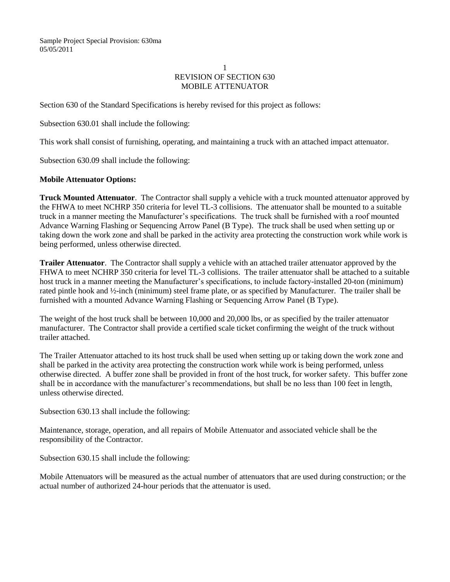## 1 REVISION OF SECTION 630 MOBILE ATTENUATOR

Section 630 of the Standard Specifications is hereby revised for this project as follows:

Subsection 630.01 shall include the following:

This work shall consist of furnishing, operating, and maintaining a truck with an attached impact attenuator.

Subsection 630.09 shall include the following:

## **Mobile Attenuator Options:**

**Truck Mounted Attenuator**. The Contractor shall supply a vehicle with a truck mounted attenuator approved by the FHWA to meet NCHRP 350 criteria for level TL-3 collisions. The attenuator shall be mounted to a suitable truck in a manner meeting the Manufacturer's specifications. The truck shall be furnished with a roof mounted Advance Warning Flashing or Sequencing Arrow Panel (B Type). The truck shall be used when setting up or taking down the work zone and shall be parked in the activity area protecting the construction work while work is being performed, unless otherwise directed.

**Trailer Attenuator**. The Contractor shall supply a vehicle with an attached trailer attenuator approved by the FHWA to meet NCHRP 350 criteria for level TL-3 collisions. The trailer attenuator shall be attached to a suitable host truck in a manner meeting the Manufacturer's specifications, to include factory-installed 20-ton (minimum) rated pintle hook and ½-inch (minimum) steel frame plate, or as specified by Manufacturer. The trailer shall be furnished with a mounted Advance Warning Flashing or Sequencing Arrow Panel (B Type).

The weight of the host truck shall be between 10,000 and 20,000 lbs, or as specified by the trailer attenuator manufacturer. The Contractor shall provide a certified scale ticket confirming the weight of the truck without trailer attached.

The Trailer Attenuator attached to its host truck shall be used when setting up or taking down the work zone and shall be parked in the activity area protecting the construction work while work is being performed, unless otherwise directed. A buffer zone shall be provided in front of the host truck, for worker safety. This buffer zone shall be in accordance with the manufacturer's recommendations, but shall be no less than 100 feet in length, unless otherwise directed.

Subsection 630.13 shall include the following:

Maintenance, storage, operation, and all repairs of Mobile Attenuator and associated vehicle shall be the responsibility of the Contractor.

Subsection 630.15 shall include the following:

Mobile Attenuators will be measured as the actual number of attenuators that are used during construction; or the actual number of authorized 24-hour periods that the attenuator is used.